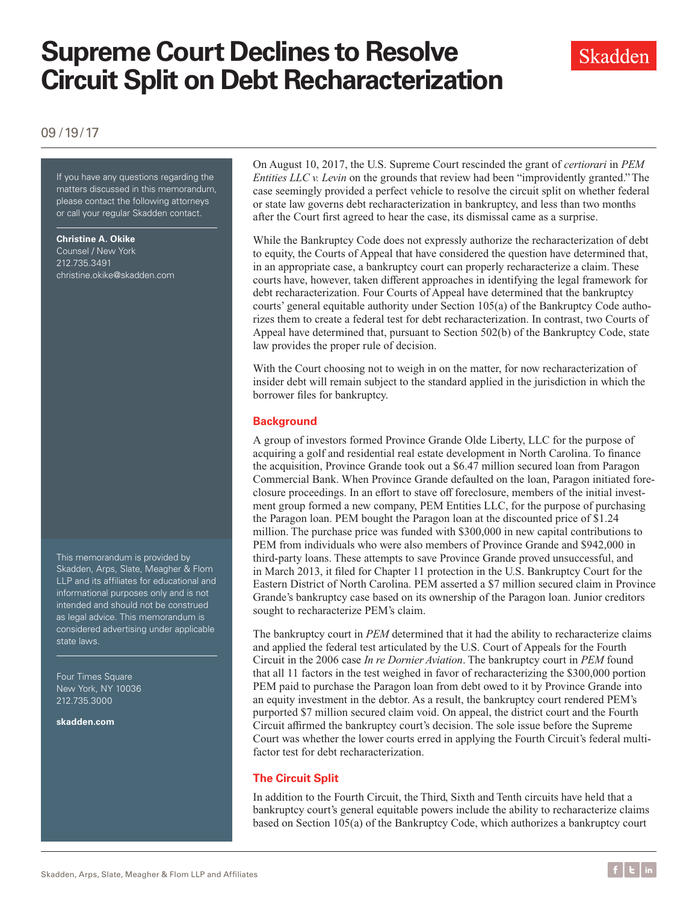# **Supreme Court Declines to Resolve Circuit Split on Debt Recharacterization**



09 /19/17

If you have any questions regarding the matters discussed in this memorandum, please contact the following attorneys or call your regular Skadden contact.

**Christine A. Okike** Counsel / New York 212.735.3491 [christine.okike@skadden.com](mailto:christine.okike@skadden.com)

This memorandum is provided by Skadden, Arps, Slate, Meagher & Flom LLP and its affiliates for educational and informational purposes only and is not intended and should not be construed as legal advice. This memorandum is considered advertising under applicable state laws.

Four Times Square New York, NY 10036 212.735.3000

**<skadden.com>**

On August 10, 2017, the U.S. Supreme Court rescinded the grant of *certiorari* in *PEM Entities LLC v. Levin* on the grounds that review had been "improvidently granted." The case seemingly provided a perfect vehicle to resolve the circuit split on whether federal or state law governs debt recharacterization in bankruptcy, and less than two months after the Court first agreed to hear the case, its dismissal came as a surprise.

While the Bankruptcy Code does not expressly authorize the recharacterization of debt to equity, the Courts of Appeal that have considered the question have determined that, in an appropriate case, a bankruptcy court can properly recharacterize a claim. These courts have, however, taken different approaches in identifying the legal framework for debt recharacterization. Four Courts of Appeal have determined that the bankruptcy courts' general equitable authority under Section 105(a) of the Bankruptcy Code authorizes them to create a federal test for debt recharacterization. In contrast, two Courts of Appeal have determined that, pursuant to Section 502(b) of the Bankruptcy Code, state law provides the proper rule of decision.

With the Court choosing not to weigh in on the matter, for now recharacterization of insider debt will remain subject to the standard applied in the jurisdiction in which the borrower files for bankruptcy.

### **Background**

A group of investors formed Province Grande Olde Liberty, LLC for the purpose of acquiring a golf and residential real estate development in North Carolina. To finance the acquisition, Province Grande took out a \$6.47 million secured loan from Paragon Commercial Bank. When Province Grande defaulted on the loan, Paragon initiated foreclosure proceedings. In an effort to stave off foreclosure, members of the initial investment group formed a new company, PEM Entities LLC, for the purpose of purchasing the Paragon loan. PEM bought the Paragon loan at the discounted price of \$1.24 million. The purchase price was funded with \$300,000 in new capital contributions to PEM from individuals who were also members of Province Grande and \$942,000 in third-party loans. These attempts to save Province Grande proved unsuccessful, and in March 2013, it filed for Chapter 11 protection in the U.S. Bankruptcy Court for the Eastern District of North Carolina. PEM asserted a \$7 million secured claim in Province Grande's bankruptcy case based on its ownership of the Paragon loan. Junior creditors sought to recharacterize PEM's claim.

The bankruptcy court in *PEM* determined that it had the ability to recharacterize claims and applied the federal test articulated by the U.S. Court of Appeals for the Fourth Circuit in the 2006 case *In re Dornier Aviation*. The bankruptcy court in *PEM* found that all 11 factors in the test weighed in favor of recharacterizing the \$300,000 portion PEM paid to purchase the Paragon loan from debt owed to it by Province Grande into an equity investment in the debtor. As a result, the bankruptcy court rendered PEM's purported \$7 million secured claim void. On appeal, the district court and the Fourth Circuit affirmed the bankruptcy court's decision. The sole issue before the Supreme Court was whether the lower courts erred in applying the Fourth Circuit's federal multifactor test for debt recharacterization.

### **The Circuit Split**

In addition to the Fourth Circuit, the Third, Sixth and Tenth circuits have held that a bankruptcy court's general equitable powers include the ability to recharacterize claims based on Section 105(a) of the Bankruptcy Code, which authorizes a bankruptcy court